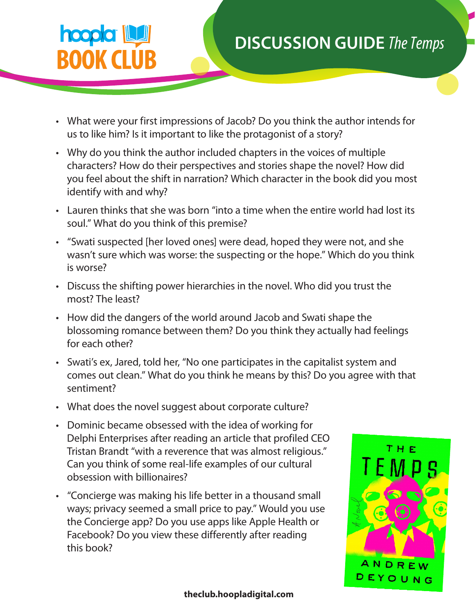## **hoopla BOOK CLUB**

## **DISCUSSION GUIDE** *The Temps*

- What were your first impressions of Jacob? Do you think the author intends for us to like him? Is it important to like the protagonist of a story?
- Why do you think the author included chapters in the voices of multiple characters? How do their perspectives and stories shape the novel? How did you feel about the shift in narration? Which character in the book did you most identify with and why?
- Lauren thinks that she was born "into a time when the entire world had lost its soul." What do you think of this premise?
- "Swati suspected [her loved ones] were dead, hoped they were not, and she wasn't sure which was worse: the suspecting or the hope." Which do you think is worse?
- Discuss the shifting power hierarchies in the novel. Who did you trust the most? The least?
- How did the dangers of the world around Jacob and Swati shape the blossoming romance between them? Do you think they actually had feelings for each other?
- Swati's ex, Jared, told her, "No one participates in the capitalist system and comes out clean." What do you think he means by this? Do you agree with that sentiment?
- What does the novel suggest about corporate culture?
- Dominic became obsessed with the idea of working for Delphi Enterprises after reading an article that profiled CEO Tristan Brandt "with a reverence that was almost religious." Can you think of some real-life examples of our cultural obsession with billionaires?
- "Concierge was making his life better in a thousand small ways; privacy seemed a small price to pay." Would you use the Concierge app? Do you use apps like Apple Health or Facebook? Do you view these differently after reading this book?